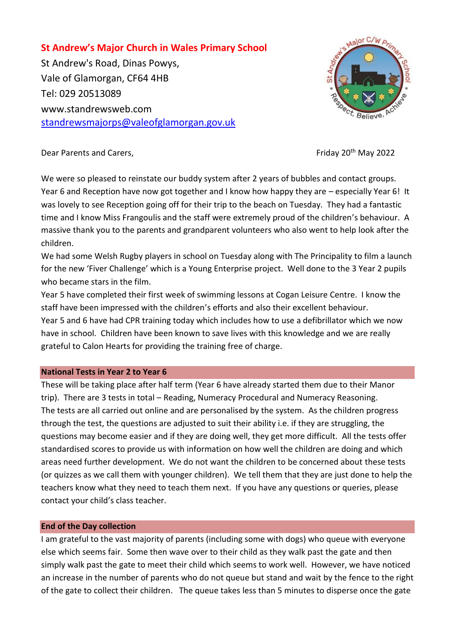# **St Andrew's Major Church in Wales Primary School**

St Andrew's Road, Dinas Powys, Vale of Glamorgan, CF64 4HB Tel: 029 20513089 www.standrewsweb.com [standrewsmajorps@valeofglamorgan.gov.uk](mailto:standrewsmajorps@valeofglamorgan.gov.uk)



Dear Parents and Carers, **Example 2022** Friday 20<sup>th</sup> May 2022

We were so pleased to reinstate our buddy system after 2 years of bubbles and contact groups. Year 6 and Reception have now got together and I know how happy they are - especially Year 6! It was lovely to see Reception going off for their trip to the beach on Tuesday. They had a fantastic time and I know Miss Frangoulis and the staff were extremely proud of the children's behaviour. A massive thank you to the parents and grandparent volunteers who also went to help look after the children.

We had some Welsh Rugby players in school on Tuesday along with The Principality to film a launch for the new 'Fiver Challenge' which is a Young Enterprise project. Well done to the 3 Year 2 pupils who became stars in the film.

Year 5 have completed their first week of swimming lessons at Cogan Leisure Centre. I know the staff have been impressed with the children's efforts and also their excellent behaviour.

Year 5 and 6 have had CPR training today which includes how to use a defibrillator which we now have in school. Children have been known to save lives with this knowledge and we are really grateful to Calon Hearts for providing the training free of charge.

## **National Tests in Year 2 to Year 6**

These will be taking place after half term (Year 6 have already started them due to their Manor trip). There are 3 tests in total – Reading, Numeracy Procedural and Numeracy Reasoning. The tests are all carried out online and are personalised by the system. As the children progress through the test, the questions are adjusted to suit their ability i.e. if they are struggling, the questions may become easier and if they are doing well, they get more difficult. All the tests offer standardised scores to provide us with information on how well the children are doing and which areas need further development. We do not want the children to be concerned about these tests (or quizzes as we call them with younger children). We tell them that they are just done to help the teachers know what they need to teach them next. If you have any questions or queries, please contact your child's class teacher.

#### **End of the Day collection**

I am grateful to the vast majority of parents (including some with dogs) who queue with everyone else which seems fair. Some then wave over to their child as they walk past the gate and then simply walk past the gate to meet their child which seems to work well. However, we have noticed an increase in the number of parents who do not queue but stand and wait by the fence to the right of the gate to collect their children. The queue takes less than 5 minutes to disperse once the gate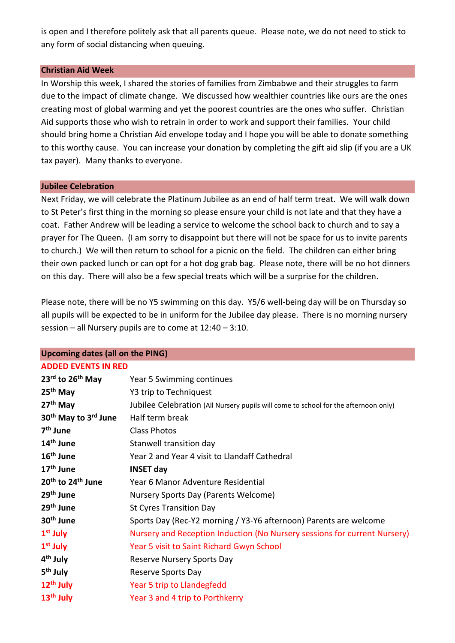is open and I therefore politely ask that all parents queue. Please note, we do not need to stick to any form of social distancing when queuing.

### **Christian Aid Week**

In Worship this week, I shared the stories of families from Zimbabwe and their struggles to farm due to the impact of climate change. We discussed how wealthier countries like ours are the ones creating most of global warming and yet the poorest countries are the ones who suffer. Christian Aid supports those who wish to retrain in order to work and support their families. Your child should bring home a Christian Aid envelope today and I hope you will be able to donate something to this worthy cause. You can increase your donation by completing the gift aid slip (if you are a UK tax payer). Many thanks to everyone.

### **Jubilee Celebration**

Next Friday, we will celebrate the Platinum Jubilee as an end of half term treat. We will walk down to St Peter's first thing in the morning so please ensure your child is not late and that they have a coat. Father Andrew will be leading a service to welcome the school back to church and to say a prayer for The Queen. (I am sorry to disappoint but there will not be space for us to invite parents to church.) We will then return to school for a picnic on the field. The children can either bring their own packed lunch or can opt for a hot dog grab bag. Please note, there will be no hot dinners on this day. There will also be a few special treats which will be a surprise for the children.

Please note, there will be no Y5 swimming on this day. Y5/6 well-being day will be on Thursday so all pupils will be expected to be in uniform for the Jubilee day please. There is no morning nursery session – all Nursery pupils are to come at 12:40 – 3:10.

| <b>Upcoming dates (all on the PING)</b>      |                                                                                     |  |
|----------------------------------------------|-------------------------------------------------------------------------------------|--|
| <b>ADDED EVENTS IN RED</b>                   |                                                                                     |  |
| $23^{\text{rd}}$ to $26^{\text{th}}$ May     | Year 5 Swimming continues                                                           |  |
| $25th$ May                                   | Y3 trip to Techniquest                                                              |  |
| 27 <sup>th</sup> May                         | Jubilee Celebration (All Nursery pupils will come to school for the afternoon only) |  |
| 30 <sup>th</sup> May to 3 <sup>rd</sup> June | Half term break                                                                     |  |
| 7 <sup>th</sup> June                         | <b>Class Photos</b>                                                                 |  |
| 14 <sup>th</sup> June                        | Stanwell transition day                                                             |  |
| 16 <sup>th</sup> June                        | Year 2 and Year 4 visit to Llandaff Cathedral                                       |  |
| 17 <sup>th</sup> June                        | <b>INSET day</b>                                                                    |  |
| 20 <sup>th</sup> to 24 <sup>th</sup> June    | Year 6 Manor Adventure Residential                                                  |  |
| 29 <sup>th</sup> June                        | Nursery Sports Day (Parents Welcome)                                                |  |
| 29 <sup>th</sup> June                        | <b>St Cyres Transition Day</b>                                                      |  |
| 30 <sup>th</sup> June                        | Sports Day (Rec-Y2 morning / Y3-Y6 afternoon) Parents are welcome                   |  |
| $1st$ July                                   | Nursery and Reception Induction (No Nursery sessions for current Nursery)           |  |
| $1st$ July                                   | Year 5 visit to Saint Richard Gwyn School                                           |  |
| 4 <sup>th</sup> July                         | <b>Reserve Nursery Sports Day</b>                                                   |  |
| 5 <sup>th</sup> July                         | Reserve Sports Day                                                                  |  |
| $12th$ July                                  | Year 5 trip to Llandegfedd                                                          |  |
| $13th$ July                                  | Year 3 and 4 trip to Porthkerry                                                     |  |